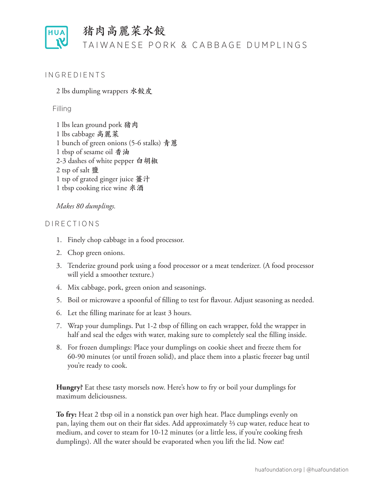

# 猪肉高麗菜水餃

## TAIWANESE PORK & CABBAGE DUMPLINGS

#### **INGREDIENTS**

2 lbs dumpling wrappers **水餃皮**

#### Filling

1 lbs lean ground pork **猪肉** 1 lbs cabbage **高麗菜** 1 bunch of green onions (5-6 stalks) **青蔥** 1 tbsp of sesame oil **香油** 2-3 dashes of white pepper **白胡椒** 2 tsp of salt **鹽** 1 tsp of grated ginger juice **薑汁** 1 tbsp cooking rice wine **米酒**

#### *Makes 80 dumplings.*

#### DIRECTIONS

- 1. Finely chop cabbage in a food processor.
- 2. Chop green onions.
- 3. Tenderize ground pork using a food processor or a meat tenderizer. (A food processor will yield a smoother texture.)
- 4. Mix cabbage, pork, green onion and seasonings.
- 5. Boil or microwave a spoonful of filling to test for flavour. Adjust seasoning as needed.
- 6. Let the filling marinate for at least 3 hours.
- 7. Wrap your dumplings. Put 1-2 tbsp of filling on each wrapper, fold the wrapper in half and seal the edges with water, making sure to completely seal the filling inside.
- 8. For frozen dumplings: Place your dumplings on cookie sheet and freeze them for 60-90 minutes (or until frozen solid), and place them into a plastic freezer bag until you're ready to cook.

**Hungry?** Eat these tasty morsels now. Here's how to fry or boil your dumplings for maximum deliciousness.

**To fry:** Heat 2 tbsp oil in a nonstick pan over high heat. Place dumplings evenly on pan, laying them out on their flat sides. Add approximately ⅔ cup water, reduce heat to medium, and cover to steam for 10-12 minutes (or a little less, if you're cooking fresh dumplings). All the water should be evaporated when you lift the lid. Now eat!